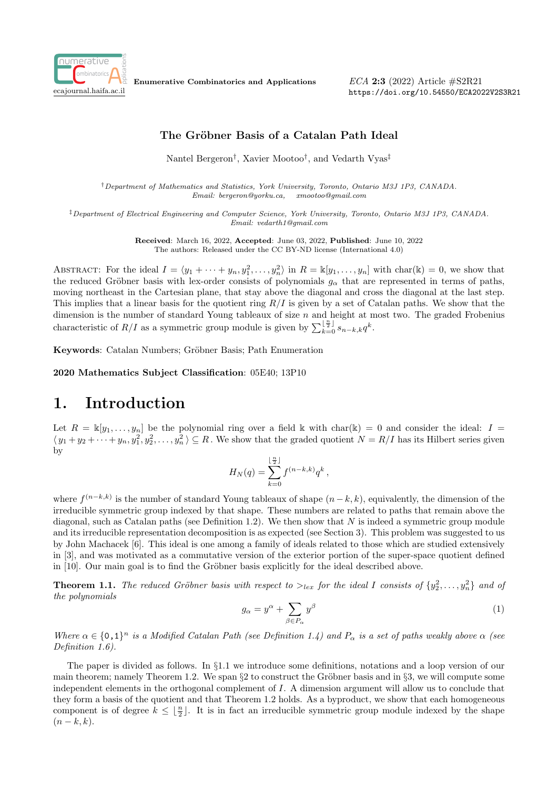

Enumerative Combinatorics and Applications

ECA 2:3 (2022) Article #S2R21 https://doi.org/10.54550/ECA2022V2S3R21

## The Gröbner Basis of a Catalan Path Ideal

Nantel Bergeron† , Xavier Mootoo† , and Vedarth Vyas‡

†Department of Mathematics and Statistics, York University, Toronto, Ontario M3J 1P3, CANADA. Email: bergeron@yorku.ca, xmootoo@gmail.com

‡Department of Electrical Engineering and Computer Science, York University, Toronto, Ontario M3J 1P3, CANADA. Email: vedarth1@gmail.com

> Received: March 16, 2022, Accepted: June 03, 2022, Published: June 10, 2022 The authors: Released under the CC BY-ND license (International 4.0)

ABSTRACT: For the ideal  $I = \langle y_1 + \cdots + y_n, y_1^2, \ldots, y_n^2 \rangle$  in  $R = \mathbb{K}[y_1, \ldots, y_n]$  with char $(\mathbb{K}) = 0$ , we show that the reduced Gröbner basis with lex-order consists of polynomials  $g_{\alpha}$  that are represented in terms of paths, moving northeast in the Cartesian plane, that stay above the diagonal and cross the diagonal at the last step. This implies that a linear basis for the quotient ring  $R/I$  is given by a set of Catalan paths. We show that the dimension is the number of standard Young tableaux of size  $n$  and height at most two. The graded Frobenius characteristic of  $R/I$  as a symmetric group module is given by  $\sum_{k=0}^{\lfloor \frac{n}{2} \rfloor} s_{n-k,k} q^k$ .

Keywords: Catalan Numbers; Gröbner Basis; Path Enumeration

2020 Mathematics Subject Classification: 05E40; 13P10

## 1. Introduction

Let  $R = \mathbb{K}[y_1, \ldots, y_n]$  be the polynomial ring over a field k with char(k) = 0 and consider the ideal:  $I =$  $\langle y_1+y_2+\cdots+y_n, y_1^2, y_2^2, \ldots, y_n^2 \rangle \subseteq R$ . We show that the graded quotient  $N=R/I$  has its Hilbert series given by

$$
H_N(q) = \sum_{k=0}^{\lfloor \frac{n}{2} \rfloor} f^{(n-k,k)} q^k,
$$

where  $f^{(n-k,k)}$  is the number of standard Young tableaux of shape  $(n-k, k)$ , equivalently, the dimension of the irreducible symmetric group indexed by that shape. These numbers are related to paths that remain above the diagonal, such as Catalan paths (see Definition 1.2). We then show that  $N$  is indeed a symmetric group module and its irreducible representation decomposition is as expected (see Section 3). This problem was suggested to us by John Machacek [6]. This ideal is one among a family of ideals related to those which are studied extensively in [3], and was motivated as a commutative version of the exterior portion of the super-space quotient defined in  $|10|$ . Our main goal is to find the Gröbner basis explicitly for the ideal described above.

**Theorem 1.1.** The reduced Gröbner basis with respect to  $>_{lex}$  for the ideal I consists of  $\{y_2^2, \ldots, y_n^2\}$  and of the polynomials

$$
g_{\alpha} = y^{\alpha} + \sum_{\beta \in P_{\alpha}} y^{\beta} \tag{1}
$$

Where  $\alpha \in \{0,1\}^n$  is a Modified Catalan Path (see Definition 1.4) and  $P_\alpha$  is a set of paths weakly above  $\alpha$  (see Definition 1.6).

The paper is divided as follows. In §1.1 we introduce some definitions, notations and a loop version of our main theorem; namely Theorem 1.2. We span  $\S2$  to construct the Gröbner basis and in  $\S3$ , we will compute some independent elements in the orthogonal complement of I. A dimension argument will allow us to conclude that they form a basis of the quotient and that Theorem 1.2 holds. As a byproduct, we show that each homogeneous component is of degree  $k \leq \lfloor \frac{n}{2} \rfloor$ . It is in fact an irreducible symmetric group module indexed by the shape  $(n-k, k).$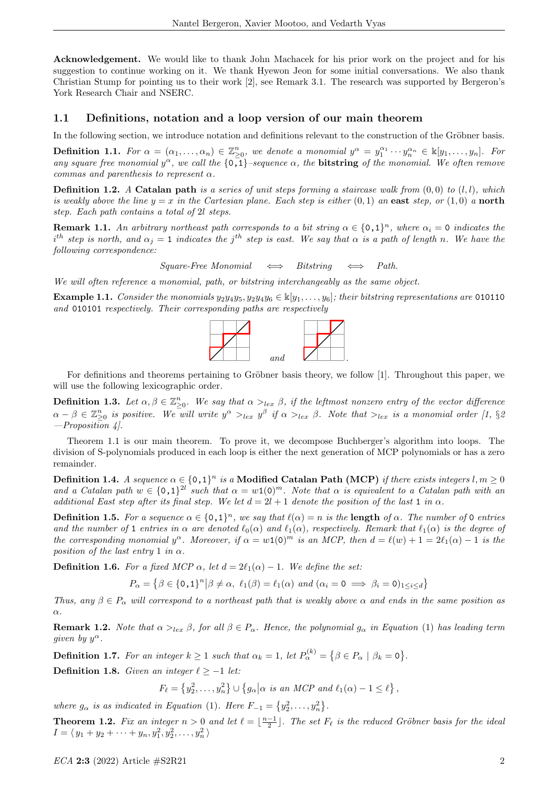Acknowledgement. We would like to thank John Machacek for his prior work on the project and for his suggestion to continue working on it. We thank Hyewon Jeon for some initial conversations. We also thank Christian Stump for pointing us to their work [2], see Remark 3.1. The research was supported by Bergeron's York Research Chair and NSERC.

#### 1.1 Definitions, notation and a loop version of our main theorem

In the following section, we introduce notation and definitions relevant to the construction of the Gröbner basis.

**Definition 1.1.** For  $\alpha = (\alpha_1, \ldots, \alpha_n) \in \mathbb{Z}_{\geq 0}^n$ , we denote a monomial  $y^{\alpha} = y_1^{\alpha_1} \cdots y_n^{\alpha_n} \in \mathbb{R}[y_1, \ldots, y_n]$ . For any square free monomial  $y^{\alpha}$ , we call the  $\{\overline{0,1}\}$ -sequence  $\alpha$ , the **bitstring** of the monomial. We often remove commas and parenthesis to represent  $\alpha$ .

**Definition 1.2.** A Catalan path is a series of unit steps forming a staircase walk from  $(0, 0)$  to  $(l, l)$ , which is weakly above the line  $y = x$  in the Cartesian plane. Each step is either  $(0, 1)$  an east step, or  $(1, 0)$  a north step. Each path contains a total of 2l steps.

**Remark 1.1.** An arbitrary northeast path corresponds to a bit string  $\alpha \in \{0,1\}^n$ , where  $\alpha_i = 0$  indicates the  $i^{th}$  step is north, and  $\alpha_j = 1$  indicates the j<sup>th</sup> step is east. We say that  $\alpha$  is a path of length n. We have the following correspondence:

 $Square\text{-}Free Monomial \Leftrightarrow Bitsring \Leftrightarrow Path.$ 

We will often reference a monomial, path, or bitstring interchangeably as the same object.

Example 1.1. Consider the monomials  $y_2y_4y_5, y_2y_4y_6 \in \mathbb{K}[y_1, \ldots, y_6]$ ; their bitstring representations are 010110 and 010101 respectively. Their corresponding paths are respectively



For definitions and theorems pertaining to Gröbner basis theory, we follow [1]. Throughout this paper, we will use the following lexicographic order.

**Definition 1.3.** Let  $\alpha, \beta \in \mathbb{Z}_{\geq 0}^n$ . We say that  $\alpha >_{lex} \beta$ , if the leftmost nonzero entry of the vector difference  $\alpha-\beta\in\mathbb{Z}_{\ge0}^n$  is positive. We will write  $y^\alpha>_{lex}y^\beta$  if  $\alpha>_{lex}\beta$ . Note that  $>_{lex}$  is a monomial order [1, §2  $-$ Proposition 4.

Theorem 1.1 is our main theorem. To prove it, we decompose Buchberger's algorithm into loops. The division of S-polynomials produced in each loop is either the next generation of MCP polynomials or has a zero remainder.

Definition 1.4. A sequence  $\alpha\in\{0$ ,1 $\}^n$  is a Modified Catalan Path (MCP) if there exists integers  $l,m\geq 0$ and a Catalan path  $w \in \{0,1\}^{\mathbb{Z}^2}$  such that  $\alpha = w(0)^m$ . Note that  $\alpha$  is equivalent to a Catalan path with an additional East step after its final step. We let  $d = 2l + 1$  denote the position of the last 1 in  $\alpha$ .

**Definition 1.5.** For a sequence  $\alpha \in \{0,1\}^n$ , we say that  $\ell(\alpha) = n$  is the **length** of  $\alpha$ . The number of 0 entries and the number of 1 entries in  $\alpha$  are denoted  $\ell_0(\alpha)$  and  $\ell_1(\alpha)$ , respectively. Remark that  $\ell_1(\alpha)$  is the degree of the corresponding monomial  $y^{\alpha}$ . Moreover, if  $\alpha = w(0)^m$  is an MCP, then  $d = \ell(w) + 1 = 2\ell_1(\alpha) - 1$  is the position of the last entry 1 in  $\alpha$ .

**Definition 1.6.** For a fixed MCP  $\alpha$ , let  $d = 2\ell_1(\alpha) - 1$ . We define the set:

$$
P_{\alpha} = \left\{ \beta \in \{0,1\}^n \middle| \beta \neq \alpha, \ \ell_1(\beta) = \ell_1(\alpha) \ \text{and} \ (\alpha_i = 0 \implies \beta_i = 0)_{1 \leq i \leq d} \right\}
$$

Thus, any  $\beta \in P_{\alpha}$  will correspond to a northeast path that is weakly above  $\alpha$  and ends in the same position as α.

**Remark 1.2.** Note that  $\alpha >_{lex} \beta$ , for all  $\beta \in P_\alpha$ . Hence, the polynomial  $g_\alpha$  in Equation (1) has leading term given by  $y^{\alpha}$ .

**Definition 1.7.** For an integer  $k \ge 1$  such that  $\alpha_k = 1$ , let  $P_{\alpha}^{(k)} = \{ \beta \in P_{\alpha} \mid \beta_k = 0 \}.$ 

Definition 1.8. Given an integer  $\ell \ge -1$  let:

 $F_{\ell} = \left\{y_2^2, \ldots, y_n^2\right\} \cup \left\{g_{\alpha} \middle| \alpha \text{ is an MCP and } \ell_1(\alpha) - 1 \leq \ell\right\},\$ 

where  $g_{\alpha}$  is as indicated in Equation (1). Here  $F_{-1} = \{y_2^2, \ldots, y_n^2\}$ .

**Theorem 1.2.** Fix an integer  $n > 0$  and let  $\ell = \lfloor \frac{n-1}{2} \rfloor$ . The set  $F_{\ell}$  is the reduced Gröbner basis for the ideal  $I = \langle y_1 + y_2 + \cdots + y_n, y_1^2, y_2^2, \ldots, y_n^2 \rangle$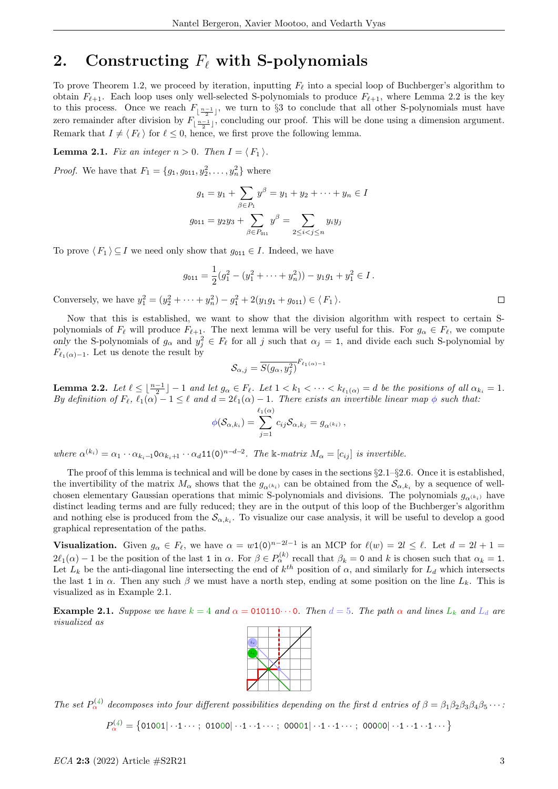## 2. Constructing  $F_{\ell}$  with S-polynomials

To prove Theorem 1.2, we proceed by iteration, inputting  $F_\ell$  into a special loop of Buchberger's algorithm to obtain  $F_{\ell+1}$ . Each loop uses only well-selected S-polynomials to produce  $F_{\ell+1}$ , where Lemma 2.2 is the key to this process. Once we reach  $F_{\lfloor \frac{n-1}{2} \rfloor}$ , we turn to §3 to conclude that all other S-polynomials must have zero remainder after division by  $F_{\lfloor \frac{n-1}{2} \rfloor}$ , concluding our proof. This will be done using a dimension argument. Remark that  $I \neq \langle F_\ell \rangle$  for  $\ell \leq 0$ , hence, we first prove the following lemma.

**Lemma 2.1.** Fix an integer  $n > 0$ . Then  $I = \langle F_1 \rangle$ .

*Proof.* We have that  $F_1 = \{g_1, g_{011}, g_2^2, \dots, g_n^2\}$  where

$$
g_1 = y_1 + \sum_{\beta \in P_1} y^{\beta} = y_1 + y_2 + \dots + y_n \in I
$$
  

$$
g_{011} = y_2 y_3 + \sum_{\beta \in P_{011}} y^{\beta} = \sum_{2 \le i < j \le n} y_i y_j
$$

To prove  $\langle F_1 \rangle \subseteq I$  we need only show that  $g_{011} \in I$ . Indeed, we have

$$
g_{011} = \frac{1}{2}(g_1^2 - (y_1^2 + \dots + y_n^2)) - y_1 g_1 + y_1^2 \in I.
$$

Conversely, we have  $y_1^2 = (y_2^2 + \cdots + y_n^2) - g_1^2 + 2(y_1g_1 + g_{011}) \in \langle F_1 \rangle$ .

Now that this is established, we want to show that the division algorithm with respect to certain Spolynomials of  $F_\ell$  will produce  $F_{\ell+1}$ . The next lemma will be very useful for this. For  $g_\alpha \in F_\ell$ , we compute only the S-polynomials of  $g_\alpha$  and  $y_j^2 \in F_\ell$  for all j such that  $\alpha_j = 1$ , and divide each such S-polynomial by  $F_{\ell_1(\alpha)-1}$ . Let us denote the result by

$$
\mathcal{S}_{\alpha,j} = \overline{S(g_{\alpha}, y_j^2)}^{F_{\ell_1(\alpha)-1}}
$$

**Lemma 2.2.** Let  $\ell \leq \lfloor \frac{n-1}{2} \rfloor - 1$  and let  $g_\alpha \in F_\ell$ . Let  $1 < k_1 < \cdots < k_{\ell_1(\alpha)} = d$  be the positions of all  $\alpha_{k_i} = 1$ . By definition of  $F_\ell$ ,  $\ell_1(\alpha) - 1 \leq \ell$  and  $d = 2\ell_1(\alpha) - 1$ . There exists an invertible linear map  $\phi$  such that:

$$
\phi(\mathcal{S}_{\alpha,k_i})=\sum_{j=1}^{\ell_1(\alpha)}c_{ij}\mathcal{S}_{\alpha,k_j}=g_{\alpha^{(k_i)}}\,,
$$

where  $\alpha^{(k_i)} = \alpha_1 \cdots \alpha_{k_i-1} \alpha_{k_i+1} \cdots \alpha_d 11(0)^{n-d-2}$ . The k-matrix  $M_\alpha = [c_{ij}]$  is invertible.

The proof of this lemma is technical and will be done by cases in the sections  $\S2.1-\S2.6$ . Once it is established, the invertibility of the matrix  $M_{\alpha}$  shows that the  $g_{\alpha^{(k_i)}}$  can be obtained from the  $S_{\alpha,k_i}$  by a sequence of wellchosen elementary Gaussian operations that mimic S-polynomials and divisions. The polynomials  $g_{\alpha^{(k_i)}}$  have distinct leading terms and are fully reduced; they are in the output of this loop of the Buchberger's algorithm and nothing else is produced from the  $\mathcal{S}_{\alpha,k_i}$ . To visualize our case analysis, it will be useful to develop a good graphical representation of the paths.

**Visualization.** Given  $g_{\alpha} \in F_{\ell}$ , we have  $\alpha = w(0)^{n-2l-1}$  is an MCP for  $\ell(w) = 2l \leq \ell$ . Let  $d = 2l + 1 =$  $2\ell_1(\alpha) - 1$  be the position of the last 1 in  $\alpha$ . For  $\beta \in P_\alpha^{(k)}$  recall that  $\beta_k = 0$  and k is chosen such that  $\alpha_k = 1$ . Let  $L_k$  be the anti-diagonal line intersecting the end of  $k^{th}$  position of  $\alpha$ , and similarly for  $L_d$  which intersects the last 1 in  $\alpha$ . Then any such  $\beta$  we must have a north step, ending at some position on the line  $L_k$ . This is visualized as in Example 2.1.

**Example 2.1.** Suppose we have  $k = 4$  and  $\alpha = 010110 \cdots 0$ . Then  $d = 5$ . The path  $\alpha$  and lines  $L_k$  and  $L_d$  are visualized as



The set  $P_{\alpha}^{(4)}$  decomposes into four different possibilities depending on the first d entries of  $\beta = \beta_1 \beta_2 \beta_3 \beta_4 \beta_5 \cdots$ 

 $P_\alpha^{(4)}=\big\{$ 01001 $\vert\cdot\cdot 1\cdots;$  01000 $\vert\cdot\cdot 1\cdots 1\cdots;$  00001 $\vert\cdot\cdot 1\cdots 1\cdots;$  00000 $\vert\cdot\cdot 1\cdots 1\cdots\big\}$ 

 $\Box$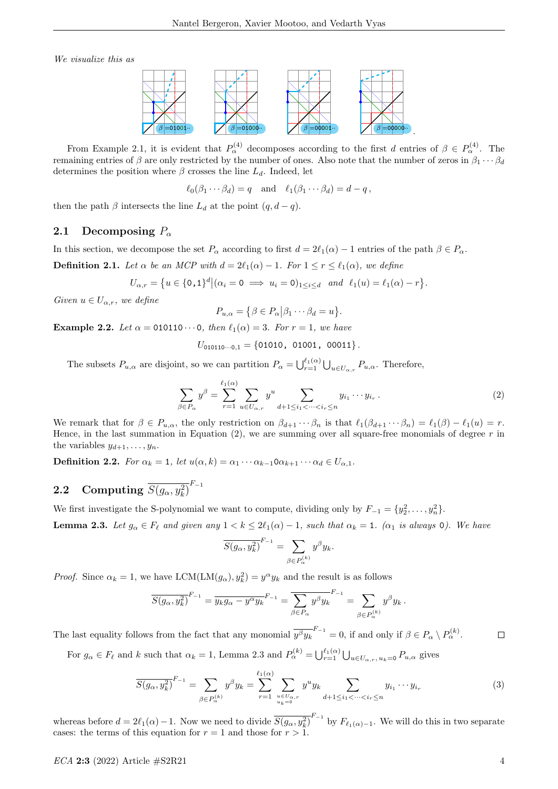We visualize this as



From Example 2.1, it is evident that  $P_\alpha^{(4)}$  decomposes according to the first d entries of  $\beta \in P_\alpha^{(4)}$ . The remaining entries of β are only restricted by the number of ones. Also note that the number of zeros in  $\beta_1 \cdots \beta_d$ determines the position where  $\beta$  crosses the line  $L_d$ . Indeed, let

$$
\ell_0(\beta_1 \cdots \beta_d) = q
$$
 and  $\ell_1(\beta_1 \cdots \beta_d) = d - q$ ,

then the path  $\beta$  intersects the line  $L_d$  at the point  $(q, d - q)$ .

#### 2.1 Decomposing  $P_{\alpha}$

In this section, we decompose the set  $P_\alpha$  according to first  $d = 2\ell_1(\alpha) - 1$  entries of the path  $\beta \in P_\alpha$ .

**Definition 2.1.** Let  $\alpha$  be an MCP with  $d = 2\ell_1(\alpha) - 1$ . For  $1 \le r \le \ell_1(\alpha)$ , we define

$$
U_{\alpha,r} = \left\{ u \in \{0,1\}^d \middle| (\alpha_i = 0 \implies u_i = 0)_{1 \leq i \leq d} \quad \text{and} \quad \ell_1(u) = \ell_1(\alpha) - r \right\}.
$$

Given  $u \in U_{\alpha,r}$ , we define

$$
P_{u,\alpha} = \{ \beta \in P_{\alpha} | \beta_1 \cdots \beta_d = u \}.
$$

**Example 2.2.** Let  $\alpha = 010110 \cdots 0$ , then  $\ell_1(\alpha) = 3$ . For  $r = 1$ , we have

$$
U_{010110\cdots0,1} = \{01010, 01001, 00011\}.
$$

The subsets  $P_{u,\alpha}$  are disjoint, so we can partition  $P_{\alpha} = \bigcup_{r=1}^{\ell_1(\alpha)} \bigcup_{u \in U_{\alpha,r}} P_{u,\alpha}$ . Therefore,

$$
\sum_{\beta \in P_{\alpha}} y^{\beta} = \sum_{r=1}^{\ell_1(\alpha)} \sum_{u \in U_{\alpha,r}} y^u \sum_{d+1 \le i_1 < \dots < i_r \le n} y_{i_1} \dots y_{i_r}.
$$
\n(2)

We remark that for  $\beta \in P_{u,\alpha}$ , the only restriction on  $\beta_{d+1} \cdots \beta_n$  is that  $\ell_1(\beta_{d+1} \cdots \beta_n) = \ell_1(\beta) - \ell_1(u) = r$ . Hence, in the last summation in Equation  $(2)$ , we are summing over all square-free monomials of degree r in the variables  $y_{d+1}, \ldots, y_n$ .

**Definition 2.2.** For  $\alpha_k = 1$ , let  $u(\alpha, k) = \alpha_1 \cdots \alpha_{k-1} \alpha_{k+1} \cdots \alpha_d \in U_{\alpha, 1}$ .

# **2.2** Computing  $\overline{S(g_{\alpha}, y_{k}^2)}^{F_{-1}}$

We first investigate the S-polynomial we want to compute, dividing only by  $F_{-1} = \{y_2^2, \ldots, y_n^2\}$ .

**Lemma 2.3.** Let  $g_{\alpha} \in F_{\ell}$  and given any  $1 < k \leq 2\ell_1(\alpha) - 1$ , such that  $\alpha_k = 1$ . ( $\alpha_1$  is always 0). We have

$$
\overline{S(g_{\alpha}, y_{k}^2)}^{F_{-1}} = \sum_{\beta \in P_{\alpha}^{(k)}} y^{\beta} y_{k}.
$$

*Proof.* Since  $\alpha_k = 1$ , we have LCM(LM( $g_\alpha$ ),  $y_k^2$ ) =  $y^\alpha y_k$  and the result is as follows

$$
\overline{S(g_{\alpha}, y_k^2)}^{F_{-1}} = \overline{y_k g_{\alpha} - y^{\alpha} y_k}^{F_{-1}} = \overline{\sum_{\beta \in P_{\alpha}} y^{\beta} y_k}^{F_{-1}} = \sum_{\beta \in P_{\alpha}} y^{\beta} y_k.
$$

The last equality follows from the fact that any monomial  $\overline{y^{\beta}y_k}^{F_{-1}} = 0$ , if and only if  $\beta \in P_{\alpha} \setminus P_{\alpha}^{(k)}$ .  $\Box$ 

For  $g_{\alpha} \in F_{\ell}$  and k such that  $\alpha_k = 1$ , Lemma 2.3 and  $P_{\alpha}^{(k)} = \bigcup_{r=1}^{\ell_1(\alpha)} \bigcup_{u \in U_{\alpha,r}, u_k = 0} P_{u,\alpha}$  gives

$$
\overline{S(g_{\alpha}, y_k^2)}^{F_{-1}} = \sum_{\beta \in P_{\alpha}^{(k)}} y^{\beta} y_k = \sum_{r=1}^{\ell_1(\alpha)} \sum_{\substack{u \in U_{\alpha,r} \\ u_k = 0}} y^u y_k \sum_{d+1 \le i_1 < \dots < i_r \le n} y_{i_1} \dots y_{i_r}
$$
\n(3)

whereas before  $d = 2\ell_1(\alpha) - 1$ . Now we need to divide  $\overline{S(g_\alpha, y_k^2)}^{F_{-1}}$  by  $F_{\ell_1(\alpha)-1}$ . We will do this in two separate cases: the terms of this equation for  $r = 1$  and those for  $r > 1$ .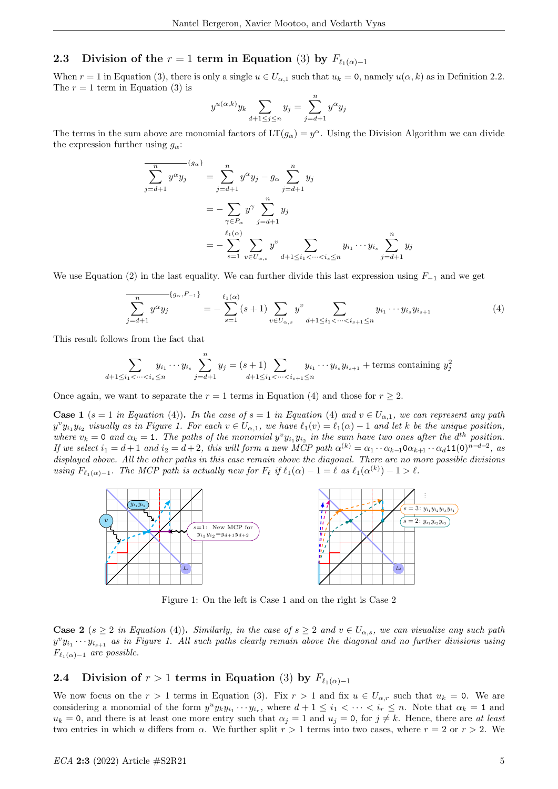## 2.3 Division of the  $r = 1$  term in Equation (3) by  $F_{\ell_1(\alpha)-1}$

When  $r = 1$  in Equation (3), there is only a single  $u \in U_{\alpha,1}$  such that  $u_k = 0$ , namely  $u(\alpha, k)$  as in Definition 2.2. The  $r = 1$  term in Equation (3) is

$$
y^{u(\alpha,k)}y_k \sum_{d+1 \le j \le n} y_j = \sum_{j=d+1}^n y^{\alpha} y_j
$$

The terms in the sum above are monomial factors of  $LT(g_\alpha) = y^\alpha$ . Using the Division Algorithm we can divide the expression further using  $q_{\alpha}$ :

$$
\overline{\sum_{j=d+1}^{n} y^{\alpha} y_j} = \sum_{j=d+1}^{n} y^{\alpha} y_j - g_{\alpha} \sum_{j=d+1}^{n} y_j
$$
  
= 
$$
-\sum_{\gamma \in P_{\alpha}} y^{\gamma} \sum_{j=d+1}^{n} y_j
$$
  
= 
$$
-\sum_{s=1}^{\ell_1(\alpha)} \sum_{v \in U_{\alpha,s}} y^v \sum_{d+1 \le i_1 < \dots < i_s \le n} y_{i_1} \dots y_{i_s} \sum_{j=d+1}^{n} y_j
$$

We use Equation (2) in the last equality. We can further divide this last expression using  $F_{-1}$  and we get

$$
\overline{\sum_{j=d+1}^{n} y^{\alpha} y_j} = -\sum_{s=1}^{\ell_1(\alpha)} (s+1) \sum_{v \in U_{\alpha,s}} y^v \sum_{d+1 \le i_1 < \dots < i_{s+1} \le n} y_{i_1} \dots y_{i_s} y_{i_{s+1}}
$$
(4)

This result follows from the fact that

$$
\sum_{d+1 \le i_1 < \dots < i_s \le n} y_{i_1} \dots y_{i_s} \sum_{j=d+1}^n y_j = (s+1) \sum_{d+1 \le i_1 < \dots < i_{s+1} \le n} y_{i_1} \dots y_{i_s} y_{i_{s+1}} + \text{terms containing } y_j^2
$$

Once again, we want to separate the  $r = 1$  terms in Equation (4) and those for  $r \geq 2$ .

**Case 1** (s = 1 in Equation (4)). In the case of s = 1 in Equation (4) and  $v \in U_{\alpha,1}$ , we can represent any path  $y^v y_{i_1} y_{i_2}$  visually as in Figure 1. For each  $v \in U_{\alpha,1}$ , we have  $\ell_1(v) = \ell_1(\alpha) - 1$  and let k be the unique position, where  $v_k = 0$  and  $\alpha_k = 1$ . The paths of the monomial  $y^v y_{i_1} y_{i_2}$  in the sum have two ones after the  $d^{th}$  position. If we select  $i_1 = d+1$  and  $i_2 = d+2$ , this will form a new MCP path  $\alpha^{(k)} = \alpha_1 \cdots \alpha_{k-1} 0 \alpha_{k+1} \cdots \alpha_d 11(0)^{n-d-2}$ , as displayed above. All the other paths in this case remain above the diagonal. There are no more possible divisions using  $F_{\ell_1(\alpha)-1}$ . The MCP path is actually new for  $F_{\ell}$  if  $\ell_1(\alpha) - 1 = \ell$  as  $\ell_1(\alpha^{(k)}) - 1 > \ell$ .



Figure 1: On the left is Case 1 and on the right is Case 2

**Case 2** (s  $\geq$  2 in Equation (4)). Similarly, in the case of s  $\geq$  2 and  $v \in U_{\alpha,s}$ , we can visualize any such path  $y^v y_{i_1} \cdots y_{i_{s+1}}$  as in Figure 1. All such paths clearly remain above the diagonal and no further divisions using  $F_{\ell_1(\alpha)-1}$  are possible.

## 2.4 Division of  $r > 1$  terms in Equation (3) by  $F_{\ell_1(\alpha)-1}$

We now focus on the  $r > 1$  terms in Equation (3). Fix  $r > 1$  and fix  $u \in U_{\alpha,r}$  such that  $u_k = 0$ . We are considering a monomial of the form  $y^u y_k y_{i_1} \cdots y_{i_r}$ , where  $d+1 \leq i_1 < \cdots < i_r \leq n$ . Note that  $\alpha_k = 1$  and  $u_k = 0$ , and there is at least one more entry such that  $\alpha_j = 1$  and  $u_j = 0$ , for  $j \neq k$ . Hence, there are at least two entries in which u differs from  $\alpha$ . We further split  $r > 1$  terms into two cases, where  $r = 2$  or  $r > 2$ . We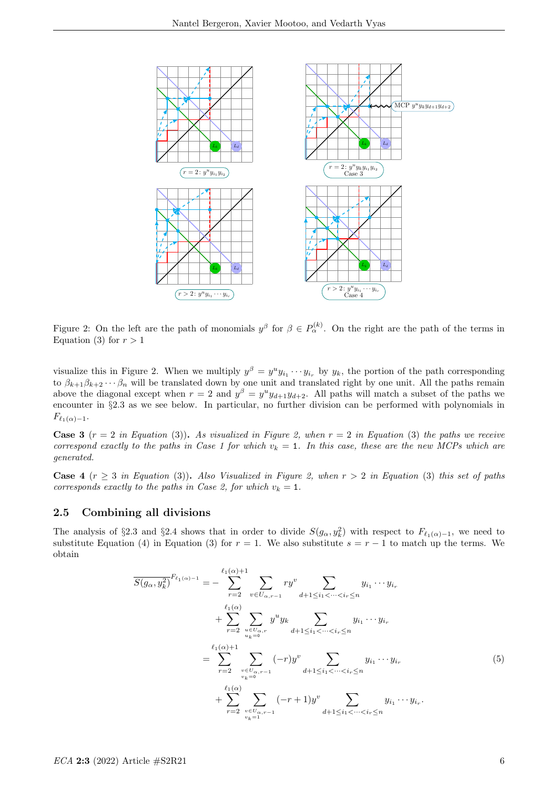

Figure 2: On the left are the path of monomials  $y^{\beta}$  for  $\beta \in P_{\alpha}^{(k)}$ . On the right are the path of the terms in Equation (3) for  $r > 1$ 

visualize this in Figure 2. When we multiply  $y^{\beta} = y^u y_{i_1} \cdots y_{i_r}$  by  $y_k$ , the portion of the path corresponding to  $\beta_{k+1}\beta_{k+2}\cdots\beta_n$  will be translated down by one unit and translated right by one unit. All the paths remain above the diagonal except when  $r = 2$  and  $y^{\beta} = y^{\mu}y_{d+1}y_{d+2}$ . All paths will match a subset of the paths we encounter in §2.3 as we see below. In particular, no further division can be performed with polynomials in  $F_{\ell_1(\alpha)-1}.$ 

**Case 3**  $(r = 2$  in Equation (3)). As visualized in Figure 2, when  $r = 2$  in Equation (3) the paths we receive correspond exactly to the paths in Case 1 for which  $v_k = 1$ . In this case, these are the new MCPs which are generated.

Case 4 ( $r \geq 3$  in Equation (3)). Also Visualized in Figure 2, when  $r > 2$  in Equation (3) this set of paths corresponds exactly to the paths in Case 2, for which  $v_k = 1$ .

### 2.5 Combining all divisions

The analysis of §2.3 and §2.4 shows that in order to divide  $S(g_{\alpha}, y_k^2)$  with respect to  $F_{\ell_1(\alpha)-1}$ , we need to substitute Equation (4) in Equation (3) for  $r = 1$ . We also substitute  $s = r - 1$  to match up the terms. We obtain

$$
\overline{S(g_{\alpha}, y_{k}^{2})}^{F_{\ell_{1}(\alpha)-1}} = -\sum_{r=2}^{\ell_{1}(\alpha)+1} \sum_{v \in U_{\alpha,r-1}} ry^{v} \sum_{d+1 \leq i_{1} < \cdots < i_{r} \leq n} y_{i_{1}} \cdots y_{i_{r}}
$$
\n
$$
+ \sum_{r=2}^{\ell_{1}(\alpha)} \sum_{u \in U_{\alpha,r}} y^{u} y_{k} \sum_{d+1 \leq i_{1} < \cdots < i_{r} \leq n} y_{i_{1}} \cdots y_{i_{r}}
$$
\n
$$
= \sum_{r=2}^{\ell_{1}(\alpha)+1} \sum_{v \in U_{\alpha,r-1}} (-r)y^{v} \sum_{d+1 \leq i_{1} < \cdots < i_{r} \leq n} y_{i_{1}} \cdots y_{i_{r}}
$$
\n
$$
+ \sum_{r=2}^{\ell_{1}(\alpha)} \sum_{v \in U_{\alpha,r-1}} (-r+1)y^{v} \sum_{d+1 \leq i_{1} < \cdots < i_{r} \leq n} y_{i_{1}} \cdots y_{i_{r}}.
$$
\n
$$
(5)
$$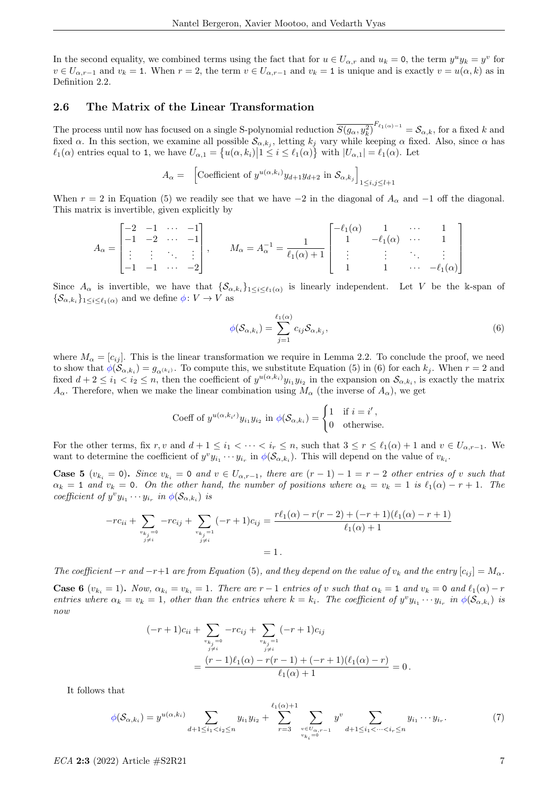In the second equality, we combined terms using the fact that for  $u \in U_{\alpha,r}$  and  $u_k = 0$ , the term  $y^u y_k = y^v$  for  $v \in U_{\alpha,r-1}$  and  $v_k = 1$ . When  $r = 2$ , the term  $v \in U_{\alpha,r-1}$  and  $v_k = 1$  is unique and is exactly  $v = u(\alpha, k)$  as in Definition 2.2.

#### 2.6 The Matrix of the Linear Transformation

The process until now has focused on a single S-polynomial reduction  $\overline{S(g_\alpha, y_k^2)}^{F_{\ell_1(\alpha)-1}} = \mathcal{S}_{\alpha,k}$ , for a fixed k and fixed  $\alpha$ . In this section, we examine all possible  $\mathcal{S}_{\alpha,k_j}$ , letting  $k_j$  vary while keeping  $\alpha$  fixed. Also, since  $\alpha$  has  $\ell_1(\alpha)$  entries equal to 1, we have  $U_{\alpha,1} = \{u(\alpha, k_i) | 1 \le i \le \ell_1(\alpha)\}\$  with  $|U_{\alpha,1}| = \ell_1(\alpha)$ . Let

$$
A_{\alpha} = \left[ \text{Coefficient of } y^{u(\alpha, k_i)} y_{d+1} y_{d+2} \text{ in } \mathcal{S}_{\alpha, k_j} \right]_{1 \le i, j \le l+1}
$$

When  $r = 2$  in Equation (5) we readily see that we have  $-2$  in the diagonal of  $A_{\alpha}$  and  $-1$  off the diagonal. This matrix is invertible, given explicitly by

$$
A_{\alpha} = \begin{bmatrix} -2 & -1 & \cdots & -1 \\ -1 & -2 & \cdots & -1 \\ \vdots & \vdots & \ddots & \vdots \\ -1 & -1 & \cdots & -2 \end{bmatrix}, \qquad M_{\alpha} = A_{\alpha}^{-1} = \frac{1}{\ell_1(\alpha) + 1} \begin{bmatrix} -\ell_1(\alpha) & 1 & \cdots & 1 \\ 1 & -\ell_1(\alpha) & \cdots & 1 \\ \vdots & \vdots & \ddots & \vdots \\ 1 & 1 & \cdots & -\ell_1(\alpha) \end{bmatrix}
$$

Since  $A_\alpha$  is invertible, we have that  $\{\mathcal{S}_{\alpha,k_i}\}_{1\leq i\leq \ell_1(\alpha)}$  is linearly independent. Let V be the k-span of  $\{\mathcal{S}_{\alpha,k_i}\}_{1\leq i\leq \ell_1(\alpha)}$  and we define  $\phi: V \to V$  as

$$
\phi(\mathcal{S}_{\alpha,k_i}) = \sum_{j=1}^{\ell_1(\alpha)} c_{ij} \mathcal{S}_{\alpha,k_j},\tag{6}
$$

where  $M_{\alpha} = [c_{ij}]$ . This is the linear transformation we require in Lemma 2.2. To conclude the proof, we need to show that  $\phi(\mathcal{S}_{\alpha,k_i})=g_{\alpha^{(k_i)}}$ . To compute this, we substitute Equation (5) in (6) for each  $k_j$ . When  $r=2$  and fixed  $d+2 \leq i_1 < i_2 \leq n$ , then the coefficient of  $y^{u(\alpha,k_i)} y_{i_1} y_{i_2}$  in the expansion on  $\mathcal{S}_{\alpha,k_i}$ , is exactly the matrix  $A_{\alpha}$ . Therefore, when we make the linear combination using  $M_{\alpha}$  (the inverse of  $A_{\alpha}$ ), we get

Coeff of 
$$
y^{u(\alpha,k_{i'})}y_{i_1}y_{i_2}
$$
 in  $\phi(\mathcal{S}_{\alpha,k_i}) = \begin{cases} 1 & \text{if } i = i', \\ 0 & \text{otherwise.} \end{cases}$ 

For the other terms, fix r, v and  $d+1 \leq i_1 < \cdots < i_r \leq n$ , such that  $3 \leq r \leq \ell_1(\alpha) + 1$  and  $v \in U_{\alpha,r-1}$ . We want to determine the coefficient of  $y^v y_{i_1} \cdots y_{i_r}$  in  $\phi(\mathcal{S}_{\alpha,k_i})$ . This will depend on the value of  $v_{k_i}$ .

**Case 5**  $(v_{k_i} = 0)$ . Since  $v_{k_i} = 0$  and  $v \in U_{\alpha,r-1}$ , there are  $(r-1)-1 = r-2$  other entries of v such that  $\alpha_k = 1$  and  $v_k = 0$ . On the other hand, the number of positions where  $\alpha_k = v_k = 1$  is  $\ell_1(\alpha) - r + 1$ . The coefficient of  $y^v y_{i_1} \cdots y_{i_r}$  in  $\phi(\mathcal{S}_{\alpha,k_i})$  is

$$
-rc_{ii} + \sum_{\substack{v_{k_j}=0 \ j \neq i}} -rc_{ij} + \sum_{\substack{v_{k_j}=1 \ j \neq i}} (-r+1)c_{ij} = \frac{r\ell_1(\alpha) - r(r-2) + (-r+1)(\ell_1(\alpha) - r + 1)}{\ell_1(\alpha) + 1}
$$

$$
= 1.
$$

The coefficient  $-r$  and  $-r+1$  are from Equation (5), and they depend on the value of  $v_k$  and the entry  $[c_{ij}] = M_{\alpha}$ .

**Case 6**  $(v_{k_i} = 1)$ . Now,  $\alpha_{k_i} = v_{k_i} = 1$ . There are r - 1 entries of v such that  $\alpha_k = 1$  and  $v_k = 0$  and  $\ell_1(\alpha) - r$ entries where  $\alpha_k = v_k = 1$ , other than the entries where  $k = k_i$ . The coefficient of  $y^v y_{i_1} \cdots y_{i_r}$  in  $\phi(\mathcal{S}_{\alpha,k_i})$  is now

$$
(-r+1)c_{ii} + \sum_{\substack{v_{kj}=0 \ j \neq i}} -rc_{ij} + \sum_{\substack{v_{kj}=1 \ j \neq i}} (-r+1)c_{ij}
$$
  
= 
$$
\frac{(r-1)\ell_1(\alpha) - r(r-1) + (-r+1)(\ell_1(\alpha) - r)}{\ell_1(\alpha) + 1} = 0.
$$

It follows that

$$
\phi(\mathcal{S}_{\alpha,k_i}) = y^{u(\alpha,k_i)} \sum_{d+1 \leq i_1 < i_2 \leq n} y_{i_1} y_{i_2} + \sum_{r=3}^{\ell_1(\alpha)+1} \sum_{\substack{v \in U_{\alpha,r-1} \\ v_{k_i}=0}} y^v \sum_{d+1 \leq i_1 < \dots < i_r \leq n} y_{i_1} \dots y_{i_r}.\tag{7}
$$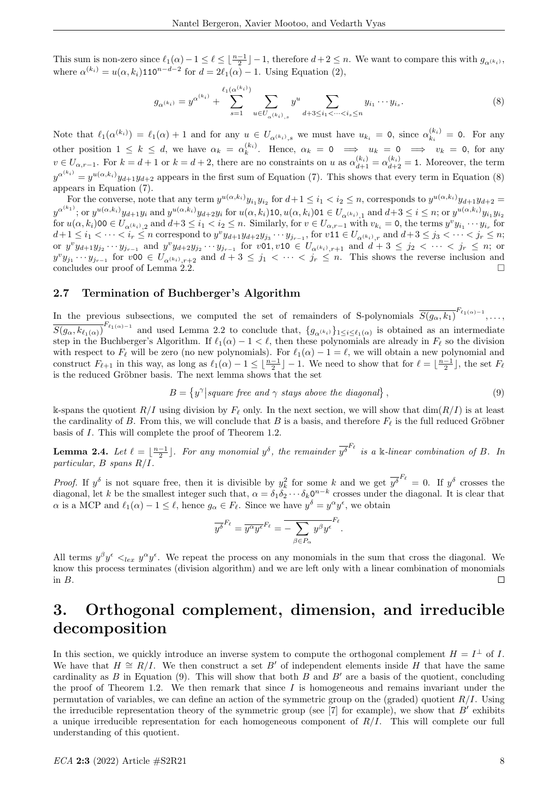This sum is non-zero since  $\ell_1(\alpha)-1 \leq \ell \leq \lfloor \frac{n-1}{2} \rfloor -1$ , therefore  $d+2 \leq n$ . We want to compare this with  $g_{\alpha^{(k_i)}}$ , where  $\alpha^{(k_i)} = u(\alpha, k_i)$ 110<sup>n-d-2</sup> for  $d = 2\ell_1(\alpha) - 1$ . Using Equation (2),

$$
g_{\alpha^{(k_i)}} = y^{\alpha^{(k_i)}} + \sum_{s=1}^{\ell_1(\alpha^{(k_i)})} \sum_{u \in U_{\alpha^{(k_i)}}, s} y^u \sum_{d+3 \le i_1 < \dots < i_s \le n} y_{i_1} \dots y_{i_s}.
$$
 (8)

Note that  $\ell_1(\alpha^{(k_i)}) = \ell_1(\alpha) + 1$  and for any  $u \in U_{\alpha^{(k_i)},s}$  we must have  $u_{k_i} = 0$ , since  $\alpha_{k_i}^{(k_i)}$  $\kappa_i^{(\kappa_i)} = 0$ . For any other position  $1 \leq k \leq d$ , we have  $\alpha_k = \alpha_k^{(k_i)}$ . Hence,  $\alpha_k = 0 \implies u_k = 0 \implies v_k = 0$ , for any  $v \in U_{\alpha,r-1}$ . For  $k = d+1$  or  $k = d+2$ , there are no constraints on u as  $\alpha_{d+1}^{(k_i)} = \alpha_{d+2}^{(k_i)} = 1$ . Moreover, the term  $y^{\alpha^{(k_i)}} = y^{u(\alpha,k_i)}y_{d+1}y_{d+2}$  appears in the first sum of Equation (7). This shows that every term in Equation (8) appears in Equation (7).

For the converse, note that any term  $y^{u(\alpha,k_i)}y_{i_1}y_{i_2}$  for  $d+1 \leq i_1 < i_2 \leq n$ , corresponds to  $y^{u(\alpha,k_i)}y_{d+1}y_{d+2} =$  $y^{\alpha^{(k_1)}}$ ; or  $y^{u(\alpha,k_i)}y_{d+1}y_i$  and  $y^{u(\alpha,k_i)}y_{d+2}y_i$  for  $u(\alpha,k_i)$ 10,  $u(\alpha,k_i)$ 01  $\in U_{\alpha^{(k_i)},1}$  and  $d+3 \leq i \leq n$ ; or  $y^{u(\alpha,k_i)}y_{i_1}y_{i_2}$  $y_0, \text{ or } y_0, \text{ or } y_{d+1}y_i \text{ and } y_0, \text{ or } y_{d+2}y_i \text{ for } u(\alpha, k_i)$  is  $\alpha(\alpha, k_i)$  or  $\alpha(\alpha, k_i)$  and  $d+3 \le i_1 < i_2 \le n$ . Similarly, for  $v \in U_{\alpha, r-1}$  with  $v_{k_i} = 0$ , the terms  $y^v y_{i_1} \cdots y_{i_r}$  for  $u(\alpha, k_i)$  or  $\alpha(\alpha, k_i)$  an  $d+1\leq i_1<\cdots< i_r\leq n$  correspond to  $y^vy_{d+1}y_{d+2}y_{j_3}\cdots y_{j_{r-1}}$ , for  $v$ 11  $\in U_{\alpha^{(k_i)},r}$  and  $d+3\leq j_3<\cdots< j_r\leq n$ ; or  $y^v y_{d+1} y_{j_2} \cdots y_{j_{r-1}}$  and  $y^v y_{d+2} y_{j_2} \cdots y_{j_{r-1}}$  for  $v \circ 1, v \circ 10 \in U_{\alpha^{(k_i)}, r+1}$  and  $d+3 \leq j_2 < \cdots < j_r \leq n$ ; or  $y^v y_{j_1} \cdots y_{j_{r-1}}$  for  $v\texttt{00} \in U_{\alpha^{(k_i)}, r+2}$  and  $d+3 \leq j_1 < \cdots < j_r \leq n$ . This shows the reverse inclusion and concludes our proof of Lemma 2.2.

#### 2.7 Termination of Buchberger's Algorithm

In the previous subsections, we computed the set of remainders of S-polynomials  $\overline{S(g_{\alpha}, k_1)}^{F_{\ell_1(\alpha)-1}}, \ldots$  $\overline{S(g_{\alpha}, k_{\ell_1(\alpha)})}^{F_{\ell_1(\alpha)-1}}$  and used Lemma 2.2 to conclude that,  $\{g_{\alpha^{(k_i)}}\}_{1 \leq i \leq \ell_1(\alpha)}$  is obtained as an intermediate step in the Buchberger's Algorithm. If  $\ell_1(\alpha) - 1 < \ell$ , then these polynomials are already in  $F_\ell$  so the division with respect to  $F_\ell$  will be zero (no new polynomials). For  $\ell_1(\alpha) - 1 = \ell$ , we will obtain a new polynomial and construct  $F_{\ell+1}$  in this way, as long as  $\ell_1(\alpha) - 1 \leq \lfloor \frac{n-1}{2} \rfloor - 1$ . We need to show that for  $\ell = \lfloor \frac{n-1}{2} \rfloor$ , the set  $F_{\ell}$ is the reduced Gröbner basis. The next lemma shows that the set

$$
B = \{y^{\gamma} | square \text{ free and } \gamma \text{ stays above the diagonal}\},\tag{9}
$$

k-spans the quotient  $R/I$  using division by  $F_\ell$  only. In the next section, we will show that  $\dim(R/I)$  is at least the cardinality of B. From this, we will conclude that B is a basis, and therefore  $F_\ell$  is the full reduced Gröbner basis of I. This will complete the proof of Theorem 1.2.

**Lemma 2.4.** Let  $\ell = \lfloor \frac{n-1}{2} \rfloor$ . For any monomial  $y^{\delta}$ , the remainder  $\overline{y^{\delta}}^{F_{\ell}}$  is a k-linear combination of B. In particular, B spans R/I.

*Proof.* If  $y^{\delta}$  is not square free, then it is divisible by  $y_k^2$  for some k and we get  $\overline{y^{\delta}}^{F_{\ell}} = 0$ . If  $y^{\delta}$  crosses the diagonal, let k be the smallest integer such that,  $\alpha = \delta_1 \delta_2 \cdots \delta_k 0^{n-k}$  crosses under the diagonal. It is clear that  $\alpha$  is a MCP and  $\ell_1(\alpha) - 1 \leq \ell$ , hence  $g_\alpha \in F_\ell$ . Since we have  $y^\delta = y^\alpha y^\epsilon$ , we obtain

$$
\overline{y^{\delta}}^{F_{\ell}} = \overline{y^{\alpha}y^{\epsilon}}^{F_{\ell}} = \overline{-\sum_{\beta \in P_{\alpha}} y^{\beta}y^{\epsilon}}^{F_{\ell}}.
$$

All terms  $y^{\beta}y^{\epsilon} <_{lex} y^{\alpha}y^{\epsilon}$ . We repeat the process on any monomials in the sum that cross the diagonal. We know this process terminates (division algorithm) and we are left only with a linear combination of monomials in B.  $\Box$ 

# 3. Orthogonal complement, dimension, and irreducible decomposition

In this section, we quickly introduce an inverse system to compute the orthogonal complement  $H = I^{\perp}$  of I. We have that  $H \cong R/I$ . We then construct a set B' of independent elements inside H that have the same cardinality as  $B$  in Equation (9). This will show that both  $B$  and  $B'$  are a basis of the quotient, concluding the proof of Theorem 1.2. We then remark that since  $I$  is homogeneous and remains invariant under the permutation of variables, we can define an action of the symmetric group on the (graded) quotient  $R/I$ . Using the irreducible representation theory of the symmetric group (see [7] for example), we show that  $B'$  exhibits a unique irreducible representation for each homogeneous component of  $R/I$ . This will complete our full understanding of this quotient.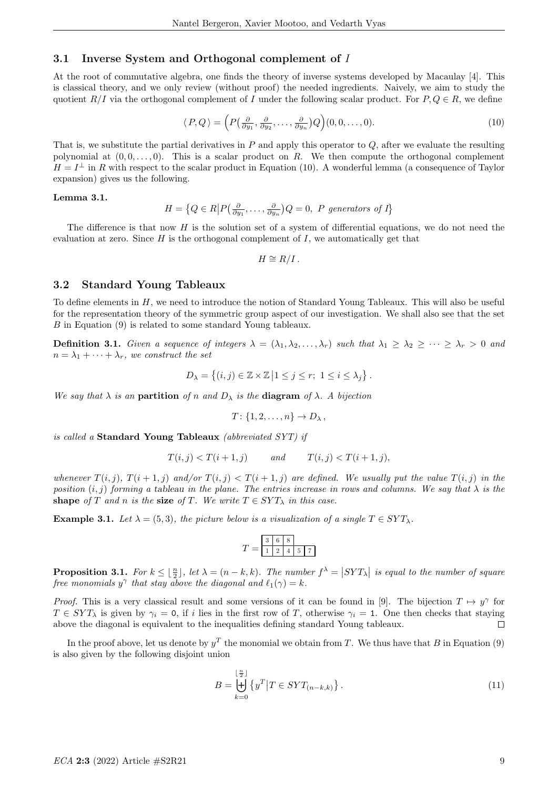## 3.1 Inverse System and Orthogonal complement of I

At the root of commutative algebra, one finds the theory of inverse systems developed by Macaulay [4]. This is classical theory, and we only review (without proof) the needed ingredients. Naively, we aim to study the quotient  $R/I$  via the orthogonal complement of I under the following scalar product. For  $P, Q \in R$ , we define

$$
\langle P, Q \rangle = \left( P\left(\frac{\partial}{\partial y_1}, \frac{\partial}{\partial y_2}, \dots, \frac{\partial}{\partial y_n} \right) Q \right) (0, 0, \dots, 0). \tag{10}
$$

That is, we substitute the partial derivatives in  $P$  and apply this operator to  $Q$ , after we evaluate the resulting polynomial at  $(0, 0, \ldots, 0)$ . This is a scalar product on R. We then compute the orthogonal complement  $H = I^{\perp}$  in R with respect to the scalar product in Equation (10). A wonderful lemma (a consequence of Taylor expansion) gives us the following.

#### Lemma 3.1.

$$
H = \left\{ Q \in R \middle| P\left(\frac{\partial}{\partial y_1}, \dots, \frac{\partial}{\partial y_n}\right) Q = 0, \ P \ \text{generators of } I \right\}
$$

The difference is that now  $H$  is the solution set of a system of differential equations, we do not need the evaluation at zero. Since  $H$  is the orthogonal complement of  $I$ , we automatically get that

$$
H \cong R/I.
$$

#### 3.2 Standard Young Tableaux

To define elements in H, we need to introduce the notion of Standard Young Tableaux. This will also be useful for the representation theory of the symmetric group aspect of our investigation. We shall also see that the set B in Equation (9) is related to some standard Young tableaux.

**Definition 3.1.** Given a sequence of integers  $\lambda = (\lambda_1, \lambda_2, ..., \lambda_r)$  such that  $\lambda_1 \geq \lambda_2 \geq ... \geq \lambda_r > 0$  and  $n = \lambda_1 + \cdots + \lambda_r$ , we construct the set

$$
D_{\lambda} = \left\{ (i, j) \in \mathbb{Z} \times \mathbb{Z} \middle| 1 \leq j \leq r; \ 1 \leq i \leq \lambda_j \right\}.
$$

We say that  $\lambda$  is an **partition** of n and  $D_{\lambda}$  is the **diagram** of  $\lambda$ . A bijection

$$
T\colon \{1,2,\ldots,n\}\to D_\lambda\,,
$$

is called a Standard Young Tableaux (abbreviated SYT) if

$$
T(i,j) < T(i+1,j) \qquad \text{and} \qquad T(i,j) < T(i+1,j),
$$

whenever  $T(i, j)$ ,  $T(i + 1, j)$  and/or  $T(i, j) < T(i + 1, j)$  are defined. We usually put the value  $T(i, j)$  in the position  $(i, j)$  forming a tableau in the plane. The entries increase in rows and columns. We say that  $\lambda$  is the shape of T and n is the size of T. We write  $T \in SYT_{\lambda}$  in this case.

**Example 3.1.** Let  $\lambda = (5, 3)$ , the picture below is a visualization of a single  $T \in SYT_{\lambda}$ .

$$
T = \begin{array}{|c|c|c|c|c|} \hline 3 & 6 & 8 \\ \hline 1 & 2 & 4 & 5 & 7 \\ \hline \end{array}
$$

**Proposition 3.1.** For  $k \leq \lfloor \frac{n}{2} \rfloor$ , let  $\lambda = (n - k, k)$ . The number  $f^{\lambda} = |SYT_{\lambda}|$  is equal to the number of square free monomials  $y^{\gamma}$  that stay above the diagonal and  $\ell_1(\gamma) = k$ .

*Proof.* This is a very classical result and some versions of it can be found in [9]. The bijection  $T \mapsto y^{\gamma}$  for  $T \in SYT_\lambda$  is given by  $\gamma_i = 0$ , if i lies in the first row of T, otherwise  $\gamma_i = 1$ . One then checks that staying above the diagonal is equivalent to the inequalities defining standard Young tableaux.  $\Box$ 

In the proof above, let us denote by  $y<sup>T</sup>$  the monomial we obtain from T. We thus have that B in Equation (9) is also given by the following disjoint union

$$
B = \biguplus_{k=0}^{\lfloor \frac{n}{2} \rfloor} \left\{ y^T \middle| T \in SYT_{(n-k,k)} \right\}.
$$
\n
$$
(11)
$$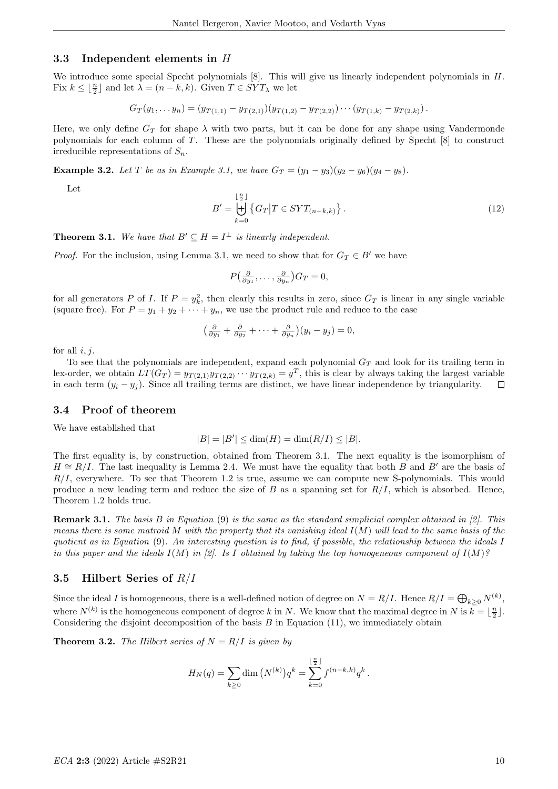#### 3.3 Independent elements in H

We introduce some special Specht polynomials  $[8]$ . This will give us linearly independent polynomials in  $H$ . Fix  $k \leq \lfloor \frac{n}{2} \rfloor$  and let  $\lambda = (n - k, k)$ . Given  $T \in SYT_{\lambda}$  we let

 $G_T(y_1,..., y_n) = (y_{T(1,1)} - y_{T(2,1)})(y_{T(1,2)} - y_{T(2,2)}) \cdots (y_{T(1,k)} - y_{T(2,k)}).$ 

Here, we only define  $G_T$  for shape  $\lambda$  with two parts, but it can be done for any shape using Vandermonde polynomials for each column of T. These are the polynomials originally defined by Specht [8] to construct irreducible representations of  $S_n$ .

**Example 3.2.** Let T be as in Example 3.1, we have  $G_T = (y_1 - y_3)(y_2 - y_6)(y_4 - y_8)$ .

Let

$$
B' = \biguplus_{k=0}^{\lfloor \frac{n}{2} \rfloor} \left\{ G_T \middle| T \in SYT_{(n-k,k)} \right\}.
$$
\n(12)

**Theorem 3.1.** We have that  $B' \subseteq H = I^{\perp}$  is linearly independent.

*Proof.* For the inclusion, using Lemma 3.1, we need to show that for  $G_T \in B'$  we have

$$
P\left(\frac{\partial}{\partial y_1},\ldots,\frac{\partial}{\partial y_n}\right)G_T=0,
$$

for all generators P of I. If  $P = y_k^2$ , then clearly this results in zero, since  $G_T$  is linear in any single variable (square free). For  $P = y_1 + y_2 + \cdots + y_n$ , we use the product rule and reduce to the case

$$
\left(\frac{\partial}{\partial y_1} + \frac{\partial}{\partial y_2} + \cdots + \frac{\partial}{\partial y_n}\right)(y_i - y_j) = 0,
$$

for all  $i, j$ .

To see that the polynomials are independent, expand each polynomial  $G_T$  and look for its trailing term in lex-order, we obtain  $LT(G_T) = y_{T(2,1)}y_{T(2,2)} \cdots y_{T(2,k)} = y^T$ , this is clear by always taking the largest variable in each term  $(y_i - y_j)$ . Since all trailing terms are distinct, we have linear independence by triangularity.  $\Box$ 

#### 3.4 Proof of theorem

We have established that

$$
|B| = |B'| \le \dim(H) = \dim(R/I) \le |B|.
$$

The first equality is, by construction, obtained from Theorem 3.1. The next equality is the isomorphism of  $H \cong R/I$ . The last inequality is Lemma 2.4. We must have the equality that both B and B' are the basis of  $R/I$ , everywhere. To see that Theorem 1.2 is true, assume we can compute new S-polynomials. This would produce a new leading term and reduce the size of B as a spanning set for  $R/I$ , which is absorbed. Hence, Theorem 1.2 holds true.

**Remark 3.1.** The basis B in Equation (9) is the same as the standard simplicial complex obtained in [2]. This means there is some matroid M with the property that its vanishing ideal  $I(M)$  will lead to the same basis of the quotient as in Equation (9). An interesting question is to find, if possible, the relationship between the ideals I in this paper and the ideals  $I(M)$  in [2]. Is I obtained by taking the top homogeneous component of  $I(M)$ ?

#### 3.5 Hilbert Series of  $R/I$

Since the ideal I is homogeneous, there is a well-defined notion of degree on  $N = R/I$ . Hence  $R/I = \bigoplus_{k \geq 0} N^{(k)}$ , where  $N^{(k)}$  is the homogeneous component of degree k in N. We know that the maximal degree in N is  $k = \lfloor \frac{n}{2} \rfloor$ . Considering the disjoint decomposition of the basis  $B$  in Equation (11), we immediately obtain

**Theorem 3.2.** The Hilbert series of  $N = R/I$  is given by

$$
H_N(q) = \sum_{k \ge 0} \dim (N^{(k)}) q^k = \sum_{k=0}^{\lfloor \frac{n}{2} \rfloor} f^{(n-k,k)} q^k.
$$